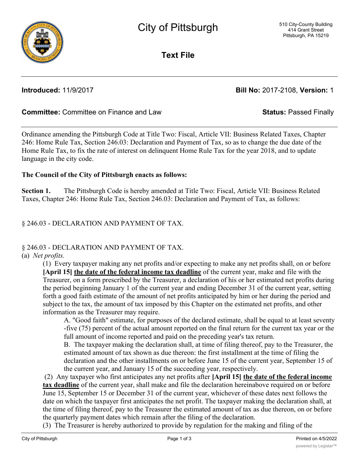**Text File**

**Introduced:** 11/9/2017 **Bill No:** 2017-2108, **Version:** 1

## **Committee:** Committee on Finance and Law **Status:** Passed Finally

Ordinance amending the Pittsburgh Code at Title Two: Fiscal, Article VII: Business Related Taxes, Chapter 246: Home Rule Tax, Section 246.03: Declaration and Payment of Tax, so as to change the due date of the Home Rule Tax, to fix the rate of interest on delinquent Home Rule Tax for the year 2018, and to update language in the city code.

#### **The Council of the City of Pittsburgh enacts as follows:**

**Section 1.** The Pittsburgh Code is hereby amended at Title Two: Fiscal, Article VII: Business Related Taxes, Chapter 246: Home Rule Tax, Section 246.03: Declaration and Payment of Tax, as follows:

## § 246.03 - DECLARATION AND PAYMENT OF TAX.

# § 246.03 - DECLARATION AND PAYMENT OF TAX.

#### (a) *Net profits.*

(1) Every taxpayer making any net profits and/or expecting to make any net profits shall, on or before **[April 15] the date of the federal income tax deadline** of the current year, make and file with the Treasurer, on a form prescribed by the Treasurer, a declaration of his or her estimated net profits during the period beginning January 1 of the current year and ending December 31 of the current year, setting forth a good faith estimate of the amount of net profits anticipated by him or her during the period and subject to the tax, the amount of tax imposed by this Chapter on the estimated net profits, and other information as the Treasurer may require.

A. "Good faith" estimate, for purposes of the declared estimate, shall be equal to at least seventy -five (75) percent of the actual amount reported on the final return for the current tax year or the full amount of income reported and paid on the preceding year's tax return.

B. The taxpayer making the declaration shall, at time of filing thereof, pay to the Treasurer, the estimated amount of tax shown as due thereon: the first installment at the time of filing the declaration and the other installments on or before June 15 of the current year, September 15 of the current year, and January 15 of the succeeding year, respectively.

 (2) Any taxpayer who first anticipates any net profits after **[April 15] the date of the federal income tax deadline** of the current year, shall make and file the declaration hereinabove required on or before June 15, September 15 or December 31 of the current year, whichever of these dates next follows the date on which the taxpayer first anticipates the net profit. The taxpayer making the declaration shall, at the time of filing thereof, pay to the Treasurer the estimated amount of tax as due thereon, on or before the quarterly payment dates which remain after the filing of the declaration.

(3) The Treasurer is hereby authorized to provide by regulation for the making and filing of the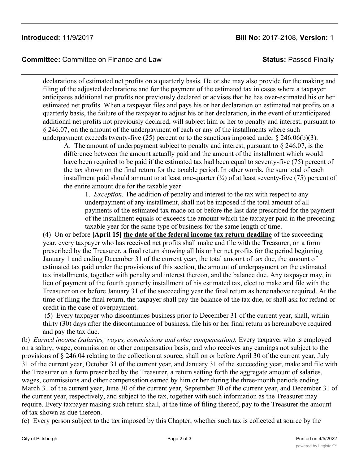## **Introduced:** 11/9/2017 **Bill No:** 2017-2108, **Version:** 1

**Committee:** Committee on Finance and Law **Status:** Passed Finally

declarations of estimated net profits on a quarterly basis. He or she may also provide for the making and filing of the adjusted declarations and for the payment of the estimated tax in cases where a taxpayer anticipates additional net profits not previously declared or advises that he has over-estimated his or her estimated net profits. When a taxpayer files and pays his or her declaration on estimated net profits on a quarterly basis, the failure of the taxpayer to adjust his or her declaration, in the event of unanticipated additional net profits not previously declared, will subject him or her to penalty and interest, pursuant to § 246.07, on the amount of the underpayment of each or any of the installments where such underpayment exceeds twenty-five (25) percent or to the sanctions imposed under  $\S$  246.06(b)(3).

A. The amount of underpayment subject to penalty and interest, pursuant to § 246.07, is the difference between the amount actually paid and the amount of the installment which would have been required to be paid if the estimated tax had been equal to seventy-five (75) percent of the tax shown on the final return for the taxable period. In other words, the sum total of each installment paid should amount to at least one-quarter  $\frac{1}{4}$  of at least seventy-five (75) percent of the entire amount due for the taxable year.

1. *Exception.* The addition of penalty and interest to the tax with respect to any underpayment of any installment, shall not be imposed if the total amount of all payments of the estimated tax made on or before the last date prescribed for the payment of the installment equals or exceeds the amount which the taxpayer paid in the preceding taxable year for the same type of business for the same length of time.

(4) On or before **[April 15] the date of the federal income tax return deadline** of the succeeding year, every taxpayer who has received net profits shall make and file with the Treasurer, on a form prescribed by the Treasurer, a final return showing all his or her net profits for the period beginning January 1 and ending December 31 of the current year, the total amount of tax due, the amount of estimated tax paid under the provisions of this section, the amount of underpayment on the estimated tax installments, together with penalty and interest thereon, and the balance due. Any taxpayer may, in lieu of payment of the fourth quarterly installment of his estimated tax, elect to make and file with the Treasurer on or before January 31 of the succeeding year the final return as hereinabove required. At the time of filing the final return, the taxpayer shall pay the balance of the tax due, or shall ask for refund or credit in the case of overpayment.

 (5) Every taxpayer who discontinues business prior to December 31 of the current year, shall, within thirty (30) days after the discontinuance of business, file his or her final return as hereinabove required and pay the tax due.

(b) *Earned income (salaries, wages, commissions and other compensation).* Every taxpayer who is employed on a salary, wage, commission or other compensation basis, and who receives any earnings not subject to the provisions of § 246.04 relating to the collection at source, shall on or before April 30 of the current year, July 31 of the current year, October 31 of the current year, and January 31 of the succeeding year, make and file with the Treasurer on a form prescribed by the Treasurer, a return setting forth the aggregate amount of salaries, wages, commissions and other compensation earned by him or her during the three-month periods ending March 31 of the current year, June 30 of the current year, September 30 of the current year, and December 31 of the current year, respectively, and subject to the tax, together with such information as the Treasurer may require. Every taxpayer making such return shall, at the time of filing thereof, pay to the Treasurer the amount of tax shown as due thereon.

(c) Every person subject to the tax imposed by this Chapter, whether such tax is collected at source by the